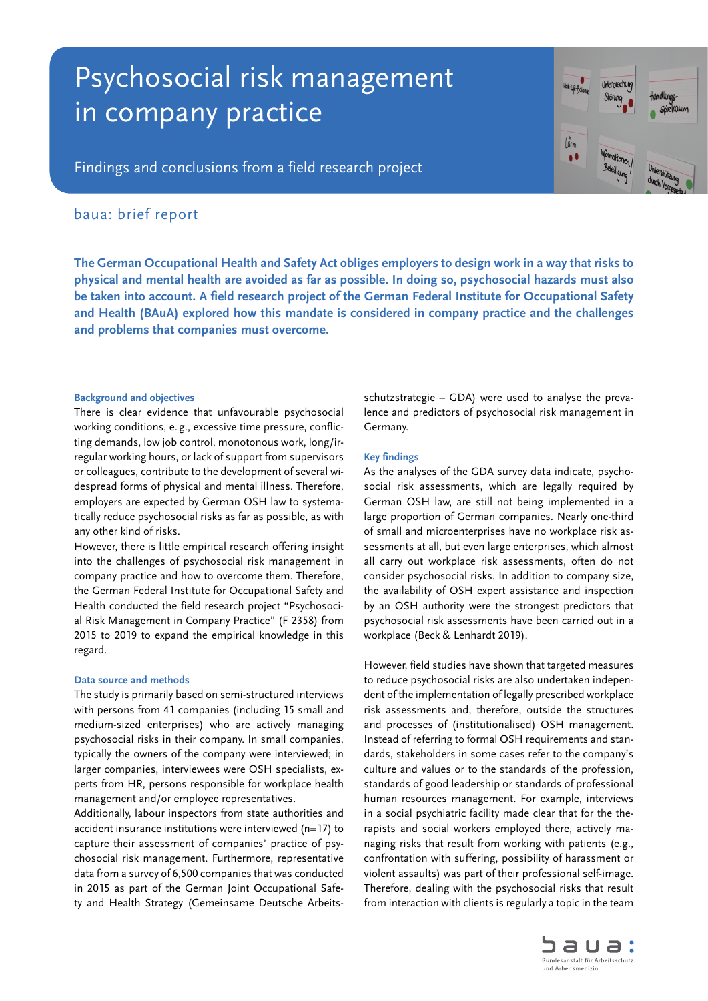# Psychosocial risk management in company practice



Findings and conclusions from a field research project

## baua: brief report

**The German Occupational Health and Safety Act obliges employers to design work in a way that risks to physical and mental health are avoided as far as possible. In doing so, psychosocial hazards must also be taken into account. A field research project of the German Federal Institute for Occupational Safety and Health (BAuA) explored how this mandate is considered in company practice and the challenges and problems that companies must overcome.**

#### **Background and objectives**

There is clear evidence that unfavourable psychosocial working conditions, e.g., excessive time pressure, conflicting demands, low job control, monotonous work, long/irregular working hours, or lack of support from supervisors or colleagues, contribute to the development of several widespread forms of physical and mental illness. Therefore, employers are expected by German OSH law to systematically reduce psychosocial risks as far as possible, as with any other kind of risks.

However, there is little empirical research offering insight into the challenges of psychosocial risk management in company practice and how to overcome them. Therefore, the German Federal Institute for Occupational Safety and Health conducted the field research project "Psychosocial Risk Management in Company Practice" (F 2358) from 2015 to 2019 to expand the empirical knowledge in this regard.

#### **Data source and methods**

The study is primarily based on semi-structured interviews with persons from 41 companies (including 15 small and medium-sized enterprises) who are actively managing psychosocial risks in their company. In small companies, typically the owners of the company were interviewed; in larger companies, interviewees were OSH specialists, experts from HR, persons responsible for workplace health management and/or employee representatives.

Additionally, labour inspectors from state authorities and accident insurance institutions were interviewed (n=17) to capture their assessment of companies' practice of psychosocial risk management. Furthermore, representative data from a survey of 6,500 companies that was conducted in 2015 as part of the German Joint Occupational Safety and Health Strategy (Gemeinsame Deutsche Arbeitsschutzstrategie – GDA) were used to analyse the prevalence and predictors of psychosocial risk management in Germany.

#### **Key findings**

As the analyses of the GDA survey data indicate, psychosocial risk assessments, which are legally required by German OSH law, are still not being implemented in a large proportion of German companies. Nearly one-third of small and microenterprises have no workplace risk assessments at all, but even large enterprises, which almost all carry out workplace risk assessments, often do not consider psychosocial risks. In addition to company size, the availability of OSH expert assistance and inspection by an OSH authority were the strongest predictors that psychosocial risk assessments have been carried out in a workplace (Beck & Lenhardt 2019).

However, field studies have shown that targeted measures to reduce psychosocial risks are also undertaken independent of the implementation of legally prescribed workplace risk assessments and, therefore, outside the structures and processes of (institutionalised) OSH management. Instead of referring to formal OSH requirements and standards, stakeholders in some cases refer to the company's culture and values or to the standards of the profession, standards of good leadership or standards of professional human resources management. For example, interviews in a social psychiatric facility made clear that for the therapists and social workers employed there, actively managing risks that result from working with patients (e.g., confrontation with suffering, possibility of harassment or violent assaults) was part of their professional self-image. Therefore, dealing with the psychosocial risks that result from interaction with clients is regularly a topic in the team

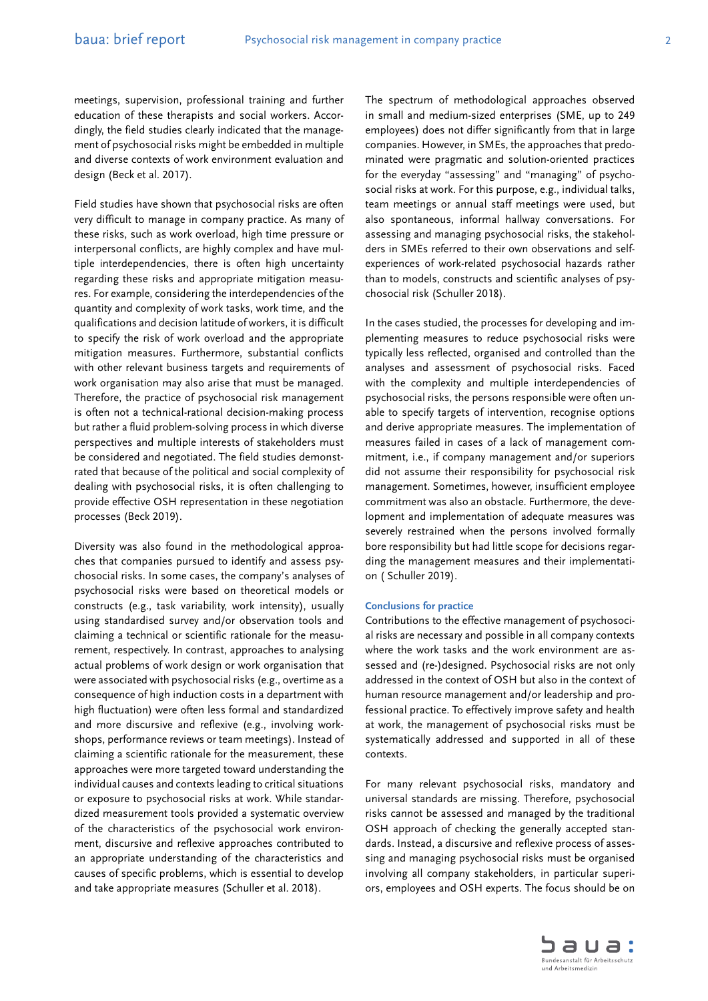Field studies have shown that psychosocial risks are often very difficult to manage in company practice. As many of these risks, such as work overload, high time pressure or interpersonal conflicts, are highly complex and have multiple interdependencies, there is often high uncertainty regarding these risks and appropriate mitigation measures. For example, considering the interdependencies of the quantity and complexity of work tasks, work time, and the qualifications and decision latitude of workers, it is difficult to specify the risk of work overload and the appropriate mitigation measures. Furthermore, substantial conflicts with other relevant business targets and requirements of work organisation may also arise that must be managed. Therefore, the practice of psychosocial risk management is often not a technical-rational decision-making process but rather a fluid problem-solving process in which diverse perspectives and multiple interests of stakeholders must be considered and negotiated. The field studies demonstrated that because of the political and social complexity of dealing with psychosocial risks, it is often challenging to provide effective OSH representation in these negotiation processes (Beck 2019).

Diversity was also found in the methodological approaches that companies pursued to identify and assess psychosocial risks. In some cases, the company's analyses of psychosocial risks were based on theoretical models or constructs (e.g., task variability, work intensity), usually using standardised survey and/or observation tools and claiming a technical or scientific rationale for the measurement, respectively. In contrast, approaches to analysing actual problems of work design or work organisation that were associated with psychosocial risks (e.g., overtime as a consequence of high induction costs in a department with high fluctuation) were often less formal and standardized and more discursive and reflexive (e.g., involving workshops, performance reviews or team meetings). Instead of claiming a scientific rationale for the measurement, these approaches were more targeted toward understanding the individual causes and contexts leading to critical situations or exposure to psychosocial risks at work. While standardized measurement tools provided a systematic overview of the characteristics of the psychosocial work environment, discursive and reflexive approaches contributed to an appropriate understanding of the characteristics and causes of specific problems, which is essential to develop and take appropriate measures (Schuller et al. 2018).

The spectrum of methodological approaches observed in small and medium-sized enterprises (SME, up to 249 employees) does not differ significantly from that in large companies. However, in SMEs, the approaches that predominated were pragmatic and solution-oriented practices for the everyday "assessing" and "managing" of psychosocial risks at work. For this purpose, e.g., individual talks, team meetings or annual staff meetings were used, but also spontaneous, informal hallway conversations. For assessing and managing psychosocial risks, the stakeholders in SMEs referred to their own observations and selfexperiences of work-related psychosocial hazards rather than to models, constructs and scientific analyses of psychosocial risk (Schuller 2018).

In the cases studied, the processes for developing and implementing measures to reduce psychosocial risks were typically less reflected, organised and controlled than the analyses and assessment of psychosocial risks. Faced with the complexity and multiple interdependencies of psychosocial risks, the persons responsible were often unable to specify targets of intervention, recognise options and derive appropriate measures. The implementation of measures failed in cases of a lack of management commitment, i.e., if company management and/or superiors did not assume their responsibility for psychosocial risk management. Sometimes, however, insufficient employee commitment was also an obstacle. Furthermore, the development and implementation of adequate measures was severely restrained when the persons involved formally bore responsibility but had little scope for decisions regarding the management measures and their implementation ( Schuller 2019).

#### **Conclusions for practice**

Contributions to the effective management of psychosocial risks are necessary and possible in all company contexts where the work tasks and the work environment are assessed and (re-)designed. Psychosocial risks are not only addressed in the context of OSH but also in the context of human resource management and/or leadership and professional practice. To effectively improve safety and health at work, the management of psychosocial risks must be systematically addressed and supported in all of these contexts.

For many relevant psychosocial risks, mandatory and universal standards are missing. Therefore, psychosocial risks cannot be assessed and managed by the traditional OSH approach of checking the generally accepted standards. Instead, a discursive and reflexive process of assessing and managing psychosocial risks must be organised involving all company stakeholders, in particular superiors, employees and OSH experts. The focus should be on